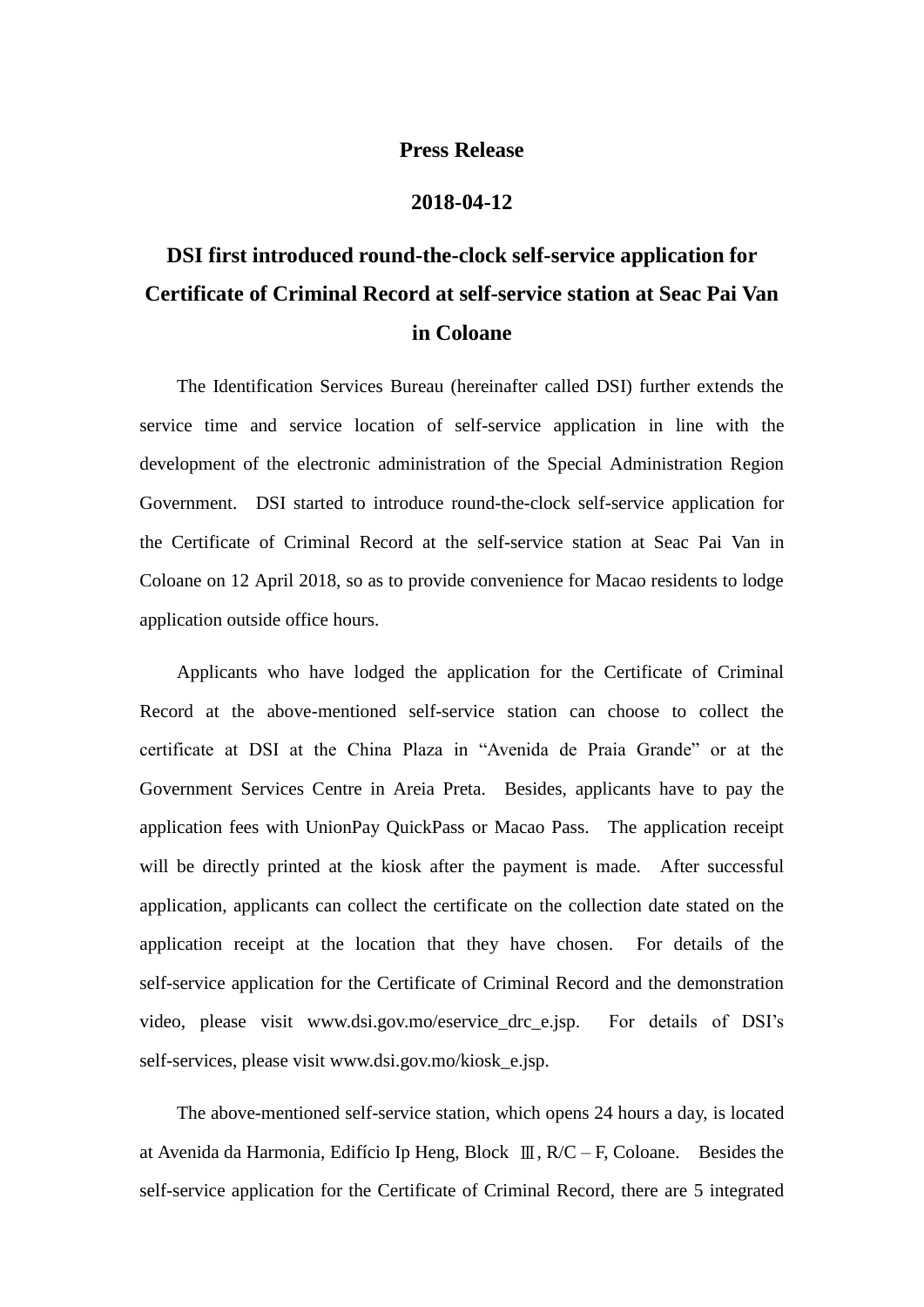## **Press Release**

## **2018-04-12**

## **DSI first introduced round-the-clock self-service application for Certificate of Criminal Record at self-service station at Seac Pai Van in Coloane**

The Identification Services Bureau (hereinafter called DSI) further extends the service time and service location of self-service application in line with the development of the electronic administration of the Special Administration Region Government. DSI started to introduce round-the-clock self-service application for the Certificate of Criminal Record at the self-service station at Seac Pai Van in Coloane on 12 April 2018, so as to provide convenience for Macao residents to lodge application outside office hours.

Applicants who have lodged the application for the Certificate of Criminal Record at the above-mentioned self-service station can choose to collect the certificate at DSI at the China Plaza in "Avenida de Praia Grande" or at the Government Services Centre in Areia Preta. Besides, applicants have to pay the application fees with UnionPay QuickPass or Macao Pass. The application receipt will be directly printed at the kiosk after the payment is made. After successful application, applicants can collect the certificate on the collection date stated on the application receipt at the location that they have chosen. For details of the self-service application for the Certificate of Criminal Record and the demonstration video, please visit www.dsi.gov.mo/eservice\_drc\_e.jsp. For details of DSI's self-services, please visit www.dsi.gov.mo/kiosk\_e.jsp.

The above-mentioned self-service station, which opens 24 hours a day, is located at Avenida da Harmonia, Edifício Ip Heng, Block Ⅲ, R/C – F, Coloane. Besides the self-service application for the Certificate of Criminal Record, there are 5 integrated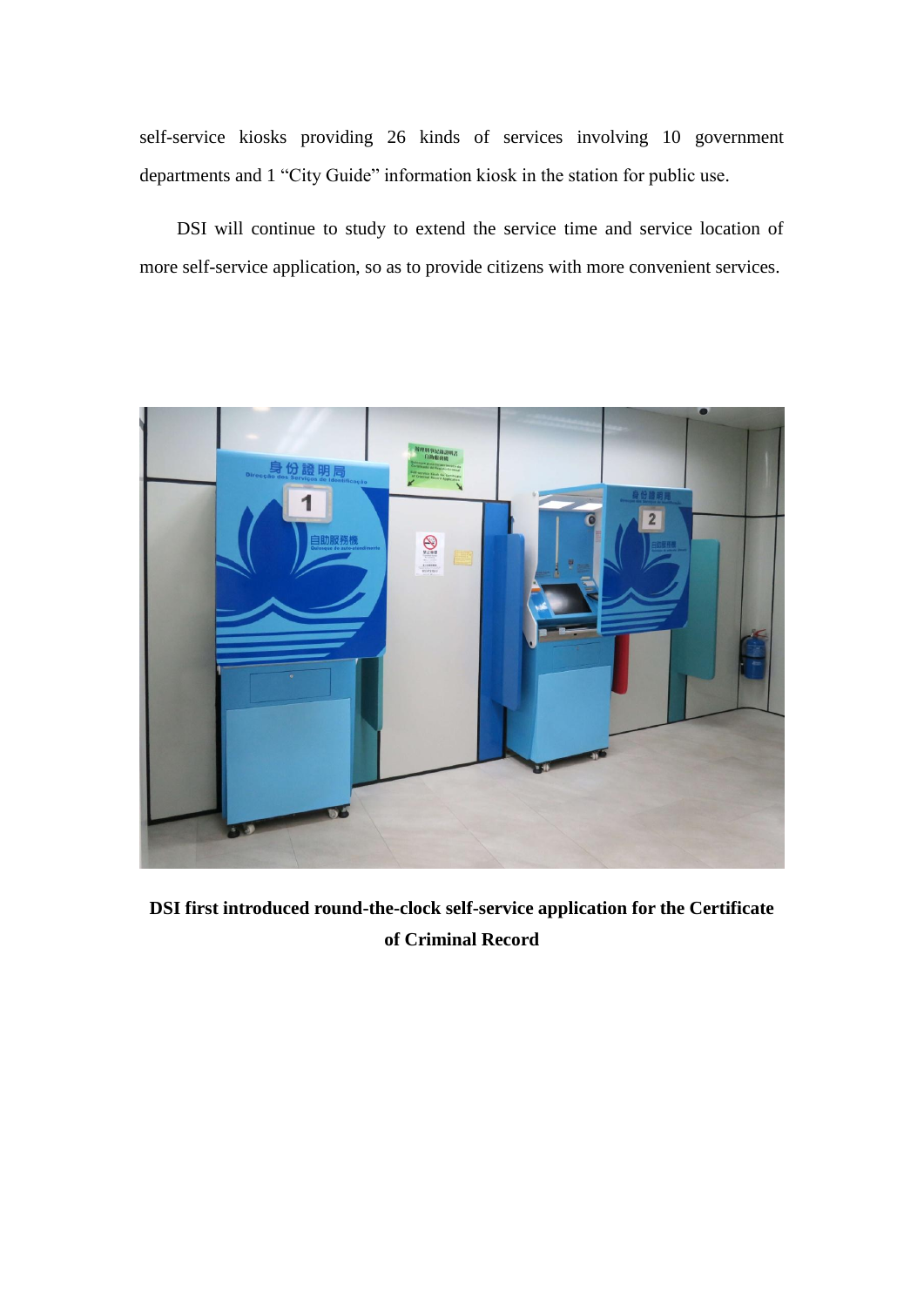self-service kiosks providing 26 kinds of services involving 10 government departments and 1 "City Guide" information kiosk in the station for public use.

DSI will continue to study to extend the service time and service location of more self-service application, so as to provide citizens with more convenient services.



**DSI first introduced round-the-clock self-service application for the Certificate of Criminal Record**